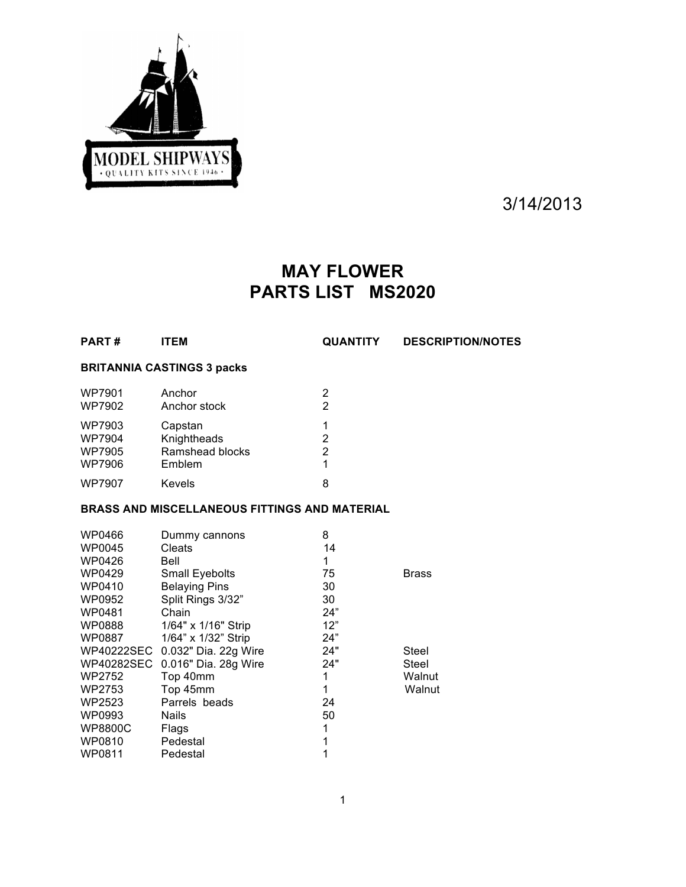

3/14/2013

# **MAY FLOWER PARTS LIST MS2020**

**PART # ITEM QUANTITY DESCRIPTION/NOTES**

# **BRITANNIA CASTINGS 3 packs**

| <b>WP7901</b><br>WP7902                     | Anchor<br>Anchor stock                              | 2<br>2       |
|---------------------------------------------|-----------------------------------------------------|--------------|
| WP7903<br><b>WP7904</b><br>WP7905<br>WP7906 | Capstan<br>Knightheads<br>Ramshead blocks<br>Emblem | 2<br>2<br>1. |
| <b>WP7907</b>                               | Kevels                                              | 8            |

## **BRASS AND MISCELLANEOUS FITTINGS AND MATERIAL**

| WP0466         | Dummy cannons         | 8   |              |
|----------------|-----------------------|-----|--------------|
| WP0045         | <b>Cleats</b>         | 14  |              |
| WP0426         | Bell                  | 1   |              |
| WP0429         | <b>Small Eyebolts</b> | 75  | <b>Brass</b> |
| WP0410         | <b>Belaying Pins</b>  | 30  |              |
| WP0952         | Split Rings 3/32"     | 30  |              |
| WP0481         | Chain                 | 24" |              |
| WP0888         | 1/64" x 1/16" Strip   | 12" |              |
| WP0887         | 1/64" x 1/32" Strip   | 24" |              |
| WP40222SEC     | 0.032" Dia. 22g Wire  | 24" | Steel        |
| WP40282SEC     | 0.016" Dia. 28g Wire  | 24" | Steel        |
| WP2752         | Top 40mm              | 1   | Walnut       |
| WP2753         | Top 45mm              | 1   | Walnut       |
| WP2523         | Parrels beads         | 24  |              |
| WP0993         | Nails                 | 50  |              |
| <b>WP8800C</b> | Flags                 | 1   |              |
| WP0810         | Pedestal              | 1   |              |
| WP0811         | Pedestal              |     |              |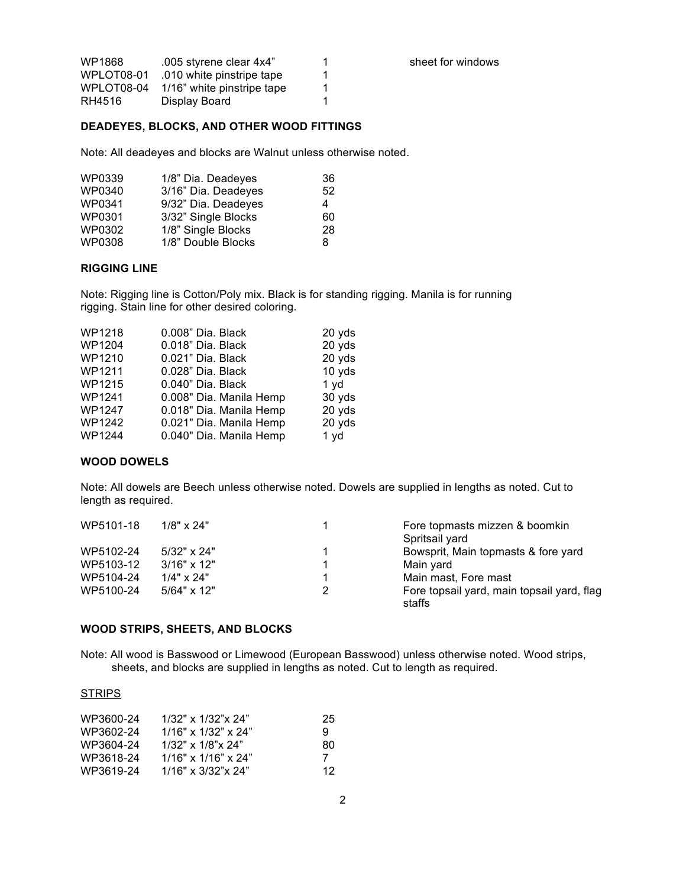| WP1868     | .005 styrene clear 4x4"    | 1 |
|------------|----------------------------|---|
| WPLOT08-01 | .010 white pinstripe tape  | 1 |
| WPLOT08-04 | 1/16" white pinstripe tape | 1 |
| RH4516     | Display Board              | 1 |

sheet for windows

#### **DEADEYES, BLOCKS, AND OTHER WOOD FITTINGS**

Note: All deadeyes and blocks are Walnut unless otherwise noted.

| WP0339        | 1/8" Dia. Deadeyes  | 36 |
|---------------|---------------------|----|
| WP0340        | 3/16" Dia. Deadeyes | 52 |
| WP0341        | 9/32" Dia. Deadeyes | 4  |
| WP0301        | 3/32" Single Blocks | 60 |
| WP0302        | 1/8" Single Blocks  | 28 |
| <b>WP0308</b> | 1/8" Double Blocks  | 8. |

### **RIGGING LINE**

Note: Rigging line is Cotton/Poly mix. Black is for standing rigging. Manila is for running rigging. Stain line for other desired coloring.

| WP1218        | 0.008" Dia. Black       | 20 yds |
|---------------|-------------------------|--------|
| <b>WP1204</b> | 0.018" Dia. Black       | 20 yds |
| WP1210        | 0.021" Dia. Black       | 20 yds |
| <b>WP1211</b> | 0.028" Dia. Black       | 10 yds |
| <b>WP1215</b> | 0.040" Dia. Black       | 1 yd   |
| WP1241        | 0.008" Dia. Manila Hemp | 30 yds |
| <b>WP1247</b> | 0.018" Dia. Manila Hemp | 20 yds |
| WP1242        | 0.021" Dia. Manila Hemp | 20 yds |
| <b>WP1244</b> | 0.040" Dia. Manila Hemp | 1 yd   |
|               |                         |        |

#### **WOOD DOWELS**

Note: All dowels are Beech unless otherwise noted. Dowels are supplied in lengths as noted. Cut to length as required.

| WP5101-18 | $1/8" \times 24"$  | Fore topmasts mizzen & boomkin                       |
|-----------|--------------------|------------------------------------------------------|
|           |                    | Spritsail yard                                       |
| WP5102-24 | $5/32" \times 24"$ | Bowsprit, Main topmasts & fore yard                  |
| WP5103-12 | $3/16" \times 12"$ | Main yard                                            |
| WP5104-24 | $1/4" \times 24"$  | Main mast, Fore mast                                 |
| WP5100-24 | $5/64" \times 12"$ | Fore topsail yard, main topsail yard, flag<br>staffs |

#### **WOOD STRIPS, SHEETS, AND BLOCKS**

Note: All wood is Basswood or Limewood (European Basswood) unless otherwise noted. Wood strips, sheets, and blocks are supplied in lengths as noted. Cut to length as required.

#### **STRIPS**

| WP3600-24 | $1/32$ " x $1/32$ " x $24$ "    | 25 |
|-----------|---------------------------------|----|
| WP3602-24 | $1/16" \times 1/32" \times 24"$ | 9  |
| WP3604-24 | $1/32"$ x $1/8"$ x $24"$        | 80 |
| WP3618-24 | $1/16"$ x $1/16"$ x $24"$       | 7  |
| WP3619-24 | $1/16" \times 3/32" \times 24"$ | 12 |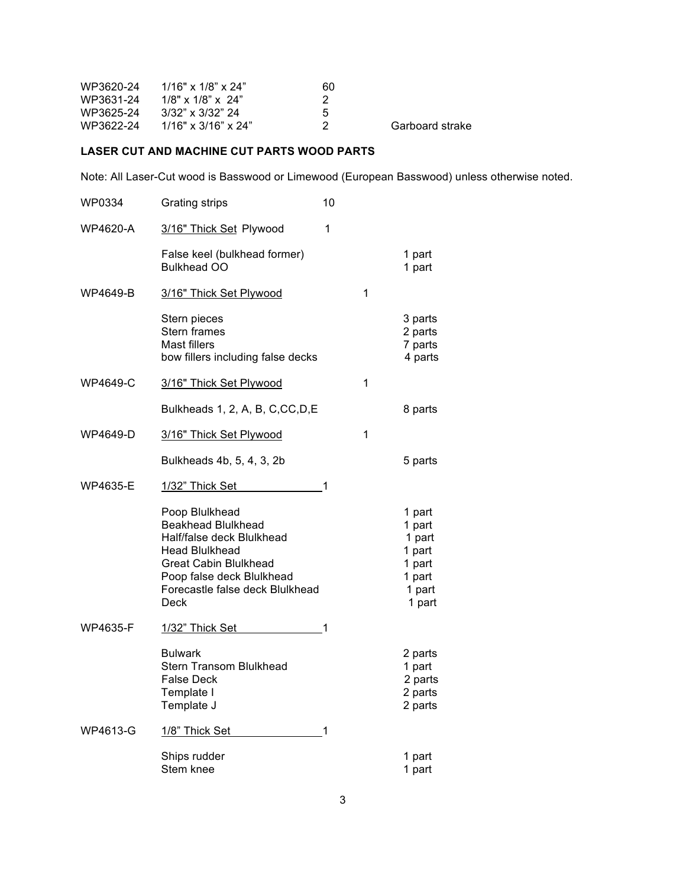| WP3620-24 1/16" x 1/8" x 24" | 60  |                 |
|------------------------------|-----|-----------------|
| $1/8$ " x $1/8$ " x $24$ "   |     |                 |
| 3/32" x 3/32" 24             | -5  |                 |
| 1/16" x 3/16" x 24"          | - 2 | Garboard strake |
|                              |     |                 |

## **LASER CUT AND MACHINE CUT PARTS WOOD PARTS**

Note: All Laser-Cut wood is Basswood or Limewood (European Basswood) unless otherwise noted.

| WP0334          | <b>Grating strips</b>                                                                                                                                                                              | 10 |   |                                                                              |
|-----------------|----------------------------------------------------------------------------------------------------------------------------------------------------------------------------------------------------|----|---|------------------------------------------------------------------------------|
| <b>WP4620-A</b> | 3/16" Thick Set Plywood                                                                                                                                                                            | 1  |   |                                                                              |
|                 | False keel (bulkhead former)<br><b>Bulkhead OO</b>                                                                                                                                                 |    |   | 1 part<br>1 part                                                             |
| WP4649-B        | 3/16" Thick Set Plywood                                                                                                                                                                            |    | 1 |                                                                              |
|                 | Stern pieces<br>Stern frames<br><b>Mast fillers</b><br>bow fillers including false decks                                                                                                           |    |   | 3 parts<br>2 parts<br>7 parts<br>4 parts                                     |
| <b>WP4649-C</b> | 3/16" Thick Set Plywood                                                                                                                                                                            |    | 1 |                                                                              |
|                 | Bulkheads 1, 2, A, B, C, CC, D, E                                                                                                                                                                  |    |   | 8 parts                                                                      |
| WP4649-D        | 3/16" Thick Set Plywood                                                                                                                                                                            |    | 1 |                                                                              |
|                 | Bulkheads 4b, 5, 4, 3, 2b                                                                                                                                                                          |    |   | 5 parts                                                                      |
| <b>WP4635-E</b> | 1/32" Thick Set                                                                                                                                                                                    | 1  |   |                                                                              |
|                 | Poop Blulkhead<br><b>Beakhead Blulkhead</b><br>Half/false deck Blulkhead<br><b>Head Blulkhead</b><br>Great Cabin Blulkhead<br>Poop false deck Blulkhead<br>Forecastle false deck Blulkhead<br>Deck |    |   | 1 part<br>1 part<br>1 part<br>1 part<br>1 part<br>1 part<br>1 part<br>1 part |
| WP4635-F        | 1/32" Thick Set                                                                                                                                                                                    | 1  |   |                                                                              |
|                 | <b>Bulwark</b><br>Stern Transom Blulkhead<br>False Deck<br>Template I<br>Template J                                                                                                                |    |   | 2 parts<br>1 part<br>2 parts<br>2 parts<br>2 parts                           |
| WP4613-G        | 1/8" Thick Set                                                                                                                                                                                     | 1  |   |                                                                              |
|                 | Ships rudder<br>Stem knee                                                                                                                                                                          |    |   | 1 part<br>1 part                                                             |